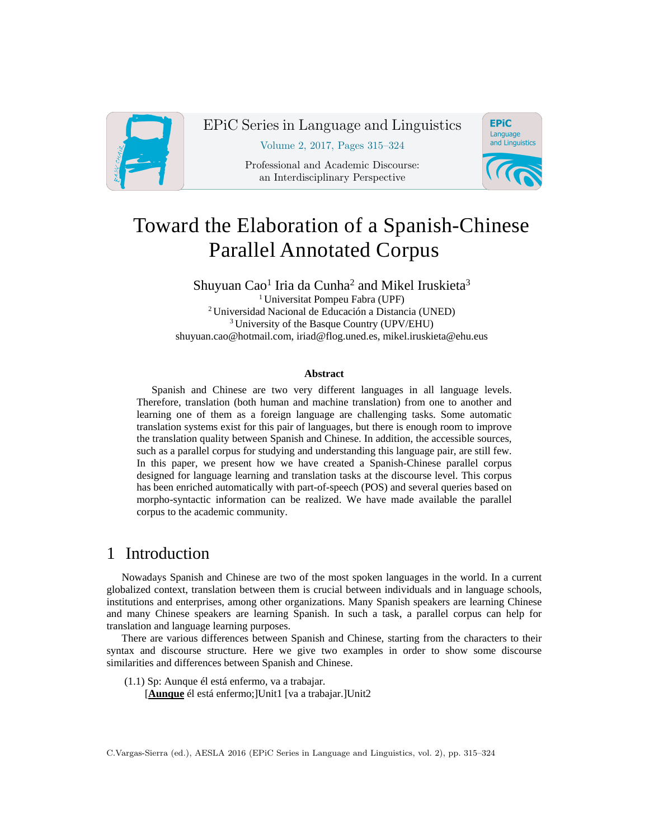

EPiC Series in Language and Linguistics

Volume 2, 2017, Pages 315–324

Professional and Academic Discourse: an Interdisciplinary Perspective



# Toward the Elaboration of a Spanish-Chinese Parallel Annotated Corpus

Shuyuan Cao<sup>1</sup> Iria da Cunha<sup>2</sup> and Mikel Iruskieta<sup>3</sup> 1 Universitat Pompeu Fabra (UPF) <sup>2</sup> Universidad Nacional de Educación a Distancia (UNED) 3 University of the Basque Country (UPV/EHU) shuyuan.cao@hotmail.com, iriad@flog.uned.es, mikel.iruskieta@ehu.eus

#### **Abstract**

Spanish and Chinese are two very different languages in all language levels. Therefore, translation (both human and machine translation) from one to another and learning one of them as a foreign language are challenging tasks. Some automatic translation systems exist for this pair of languages, but there is enough room to improve the translation quality between Spanish and Chinese. In addition, the accessible sources, such as a parallel corpus for studying and understanding this language pair, are still few. In this paper, we present how we have created a Spanish-Chinese parallel corpus designed for language learning and translation tasks at the discourse level. This corpus has been enriched automatically with part-of-speech (POS) and several queries based on morpho-syntactic information can be realized. We have made available the parallel corpus to the academic community.

## 1 Introduction

Nowadays Spanish and Chinese are two of the most spoken languages in the world. In a current globalized context, translation between them is crucial between individuals and in language schools, institutions and enterprises, among other organizations. Many Spanish speakers are learning Chinese and many Chinese speakers are learning Spanish. In such a task, a parallel corpus can help for translation and language learning purposes.

There are various differences between Spanish and Chinese, starting from the characters to their syntax and discourse structure. Here we give two examples in order to show some discourse similarities and differences between Spanish and Chinese.

(1.1) Sp: Aunque él está enfermo, va a trabajar.

[**Aunque** él está enfermo;]Unit1 [va a trabajar.]Unit2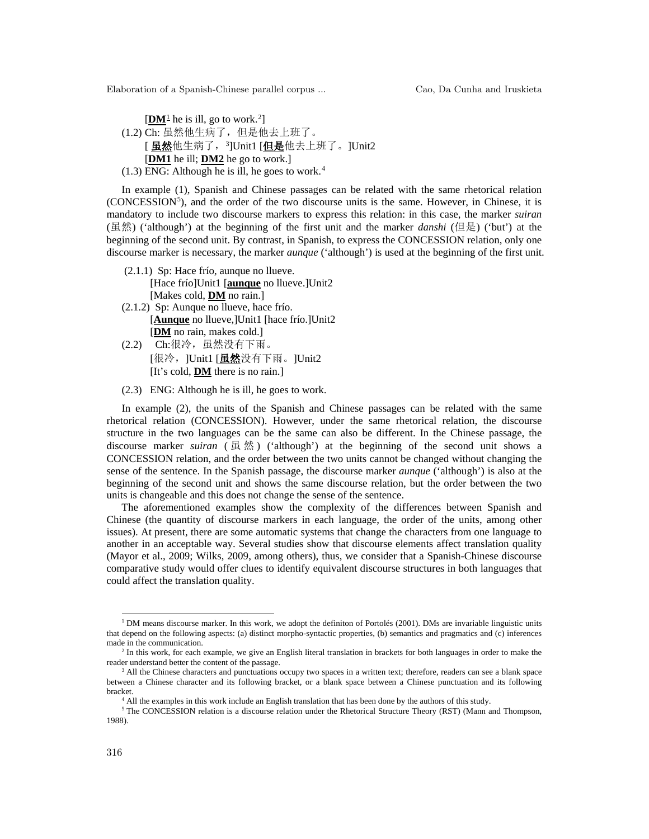$[\mathbf{DM}^{\perp}]$  he is ill, go to work.<sup>[2](#page-1-1)</sup>] (1.2) Ch: 虽然他生病了,但是他去上班了。 [ <u>虽然</u>他生病了,[3](#page-1-2)]Unit1 <u>[但是</u>他去上班了。]Unit2 [**DM1** he ill; **DM2** he go to work.]  $(1.3)$  ENG: Although he is ill, he goes to work.<sup>[4](#page-1-3)</sup>

In example (1), Spanish and Chinese passages can be related with the same rhetorical relation (CONCESSION<sup>[5](#page-1-4)</sup>), and the order of the two discourse units is the same. However, in Chinese, it is mandatory to include two discourse markers to express this relation: in this case, the marker *suiran* (虽然) ('although') at the beginning of the first unit and the marker *danshi* (但是) ('but') at the beginning of the second unit. By contrast, in Spanish, to express the CONCESSION relation, only one discourse marker is necessary, the marker *aunque* ('although') is used at the beginning of the first unit.

- (2.1.1) Sp: Hace frío, aunque no llueve. [Hace frío]Unit1 [**aunque** no llueve.]Unit2 [Makes cold, **DM** no rain.]
- (2.1.2) Sp: Aunque no llueve, hace frío. [**Aunque** no llueve,]Unit1 [hace frío.]Unit2 [**DM** no rain, makes cold.]
- (2.2) Ch:很冷,虽然没有下雨。 [很冷, ]Unit1 [**虽然**没有下雨。]Unit2 [It's cold, **DM** there is no rain.]
- (2.3) ENG: Although he is ill, he goes to work.

In example (2), the units of the Spanish and Chinese passages can be related with the same rhetorical relation (CONCESSION). However, under the same rhetorical relation, the discourse structure in the two languages can be the same can also be different. In the Chinese passage, the discourse marker *suiran* ( $\frac{1}{x}$ ) ('although') at the beginning of the second unit shows a CONCESSION relation, and the order between the two units cannot be changed without changing the sense of the sentence. In the Spanish passage, the discourse marker *aunque* ('although') is also at the beginning of the second unit and shows the same discourse relation, but the order between the two units is changeable and this does not change the sense of the sentence.

The aforementioned examples show the complexity of the differences between Spanish and Chinese (the quantity of discourse markers in each language, the order of the units, among other issues). At present, there are some automatic systems that change the characters from one language to another in an acceptable way. Several studies show that discourse elements affect translation quality (Mayor et al., 2009; Wilks, 2009, among others), thus, we consider that a Spanish-Chinese discourse comparative study would offer clues to identify equivalent discourse structures in both languages that could affect the translation quality.

<span id="page-1-0"></span><sup>&</sup>lt;sup>1</sup> DM means discourse marker. In this work, we adopt the definiton of Portolés (2001). DMs are invariable linguistic units that depend on the following aspects: (a) distinct morpho-syntactic properties, (b) semantics and pragmatics and (c) inferences made in the communication.

<span id="page-1-1"></span><sup>&</sup>lt;sup>2</sup> In this work, for each example, we give an English literal translation in brackets for both languages in order to make the reader understand better the content of the passage.

<span id="page-1-2"></span><sup>&</sup>lt;sup>3</sup> All the Chinese characters and punctuations occupy two spaces in a written text; therefore, readers can see a blank space between a Chinese character and its following bracket, or a blank space between a Chinese punctuation and its following bracket.

<sup>&</sup>lt;sup>4</sup> All the examples in this work include an English translation that has been done by the authors of this study.

<span id="page-1-4"></span><span id="page-1-3"></span><sup>&</sup>lt;sup>5</sup> The CONCESSION relation is a discourse relation under the Rhetorical Structure Theory (RST) (Mann and Thompson, 1988).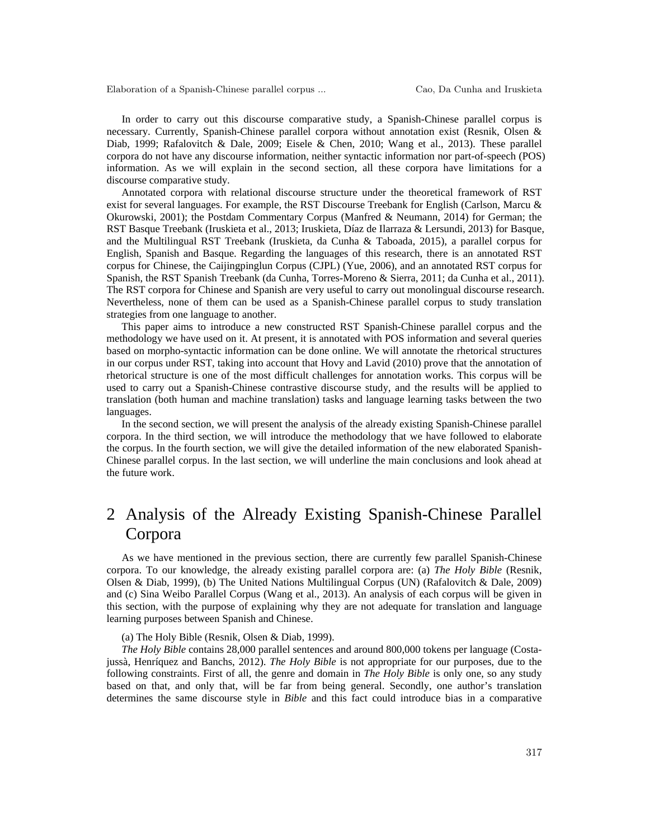In order to carry out this discourse comparative study, a Spanish-Chinese parallel corpus is necessary. Currently, Spanish-Chinese parallel corpora without annotation exist (Resnik, Olsen & Diab, 1999; Rafalovitch & Dale, 2009; Eisele & Chen, 2010; Wang et al., 2013). These parallel corpora do not have any discourse information, neither syntactic information nor part-of-speech (POS) information. As we will explain in the second section, all these corpora have limitations for a discourse comparative study.

Annotated corpora with relational discourse structure under the theoretical framework of RST exist for several languages. For example, the RST Discourse Treebank for English (Carlson, Marcu & Okurowski, 2001); the Postdam Commentary Corpus (Manfred & Neumann, 2014) for German; the RST Basque Treebank (Iruskieta et al., 2013; Iruskieta, Díaz de Ilarraza & Lersundi, 2013) for Basque, and the Multilingual RST Treebank (Iruskieta, da Cunha & Taboada, 2015), a parallel corpus for English, Spanish and Basque. Regarding the languages of this research, there is an annotated RST corpus for Chinese, the Caijingpinglun Corpus (CJPL) (Yue, 2006), and an annotated RST corpus for Spanish, the RST Spanish Treebank (da Cunha, Torres-Moreno & Sierra, 2011; da Cunha et al., 2011). The RST corpora for Chinese and Spanish are very useful to carry out monolingual discourse research. Nevertheless, none of them can be used as a Spanish-Chinese parallel corpus to study translation strategies from one language to another.

This paper aims to introduce a new constructed RST Spanish-Chinese parallel corpus and the methodology we have used on it. At present, it is annotated with POS information and several queries based on morpho-syntactic information can be done online. We will annotate the rhetorical structures in our corpus under RST, taking into account that Hovy and Lavid (2010) prove that the annotation of rhetorical structure is one of the most difficult challenges for annotation works. This corpus will be used to carry out a Spanish-Chinese contrastive discourse study, and the results will be applied to translation (both human and machine translation) tasks and language learning tasks between the two languages.

In the second section, we will present the analysis of the already existing Spanish-Chinese parallel corpora. In the third section, we will introduce the methodology that we have followed to elaborate the corpus. In the fourth section, we will give the detailed information of the new elaborated Spanish-Chinese parallel corpus. In the last section, we will underline the main conclusions and look ahead at the future work.

## 2 Analysis of the Already Existing Spanish-Chinese Parallel Corpora

As we have mentioned in the previous section, there are currently few parallel Spanish-Chinese corpora. To our knowledge, the already existing parallel corpora are: (a) *The Holy Bible* (Resnik, Olsen & Diab, 1999), (b) The United Nations Multilingual Corpus (UN) (Rafalovitch & Dale, 2009) and (c) Sina Weibo Parallel Corpus (Wang et al., 2013). An analysis of each corpus will be given in this section, with the purpose of explaining why they are not adequate for translation and language learning purposes between Spanish and Chinese.

(a) The Holy Bible (Resnik, Olsen & Diab, 1999).

*The Holy Bible* contains 28,000 parallel sentences and around 800,000 tokens per language (Costajussà, Henríquez and Banchs, 2012). *The Holy Bible* is not appropriate for our purposes, due to the following constraints. First of all, the genre and domain in *The Holy Bible* is only one, so any study based on that, and only that, will be far from being general. Secondly, one author's translation determines the same discourse style in *Bible* and this fact could introduce bias in a comparative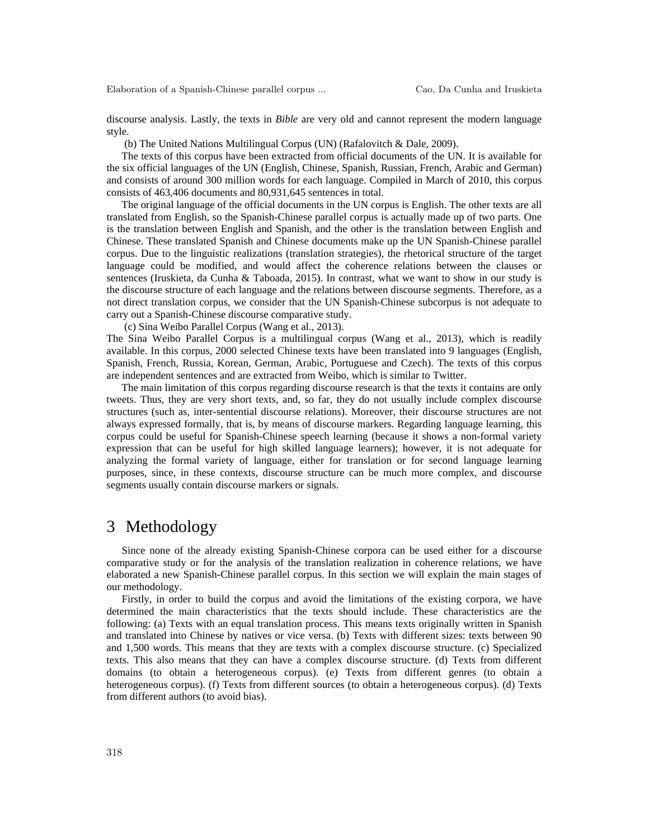discourse analysis. Lastly, the texts in *Bible* are very old and cannot represent the modern language style.

(b) The United Nations Multilingual Corpus (UN) (Rafalovitch & Dale, 2009).

The texts of this corpus have been extracted from official documents of the UN. It is available for the six official languages of the UN (English, Chinese, Spanish, Russian, French, Arabic and German) and consists of around 300 million words for each language. Compiled in March of 2010, this corpus consists of 463,406 documents and 80,931,645 sentences in total.

The original language of the official documents in the UN corpus is English. The other texts are all translated from English, so the Spanish-Chinese parallel corpus is actually made up of two parts. One is the translation between English and Spanish, and the other is the translation between English and Chinese. These translated Spanish and Chinese documents make up the UN Spanish-Chinese parallel corpus. Due to the linguistic realizations (translation strategies), the rhetorical structure of the target language could be modified, and would affect the coherence relations between the clauses or sentences (Iruskieta, da Cunha & Taboada, 2015). In contrast, what we want to show in our study is the discourse structure of each language and the relations between discourse segments. Therefore, as a not direct translation corpus, we consider that the UN Spanish-Chinese subcorpus is not adequate to carry out a Spanish-Chinese discourse comparative study.

(c) Sina Weibo Parallel Corpus (Wang et al., 2013).

The Sina Weibo Parallel Corpus is a multilingual corpus (Wang et al., 2013), which is readily available. In this corpus, 2000 selected Chinese texts have been translated into 9 languages (English, Spanish, French, Russia, Korean, German, Arabic, Portuguese and Czech). The texts of this corpus are independent sentences and are extracted from Weibo, which is similar to Twitter.

The main limitation of this corpus regarding discourse research is that the texts it contains are only tweets. Thus, they are very short texts, and, so far, they do not usually include complex discourse structures (such as, inter-sentential discourse relations). Moreover, their discourse structures are not always expressed formally, that is, by means of discourse markers. Regarding language learning, this corpus could be useful for Spanish-Chinese speech learning (because it shows a non-formal variety expression that can be useful for high skilled language learners); however, it is not adequate for analyzing the formal variety of language, either for translation or for second language learning purposes, since, in these contexts, discourse structure can be much more complex, and discourse segments usually contain discourse markers or signals.

#### 3 Methodology

Since none of the already existing Spanish-Chinese corpora can be used either for a discourse comparative study or for the analysis of the translation realization in coherence relations, we have elaborated a new Spanish-Chinese parallel corpus. In this section we will explain the main stages of our methodology.

Firstly, in order to build the corpus and avoid the limitations of the existing corpora, we have determined the main characteristics that the texts should include. These characteristics are the following: (a) Texts with an equal translation process. This means texts originally written in Spanish and translated into Chinese by natives or vice versa. (b) Texts with different sizes: texts between 90 and 1,500 words. This means that they are texts with a complex discourse structure. (c) Specialized texts. This also means that they can have a complex discourse structure. (d) Texts from different domains (to obtain a heterogeneous corpus). (e) Texts from different genres (to obtain a heterogeneous corpus). (f) Texts from different sources (to obtain a heterogeneous corpus). (d) Texts from different authors (to avoid bias).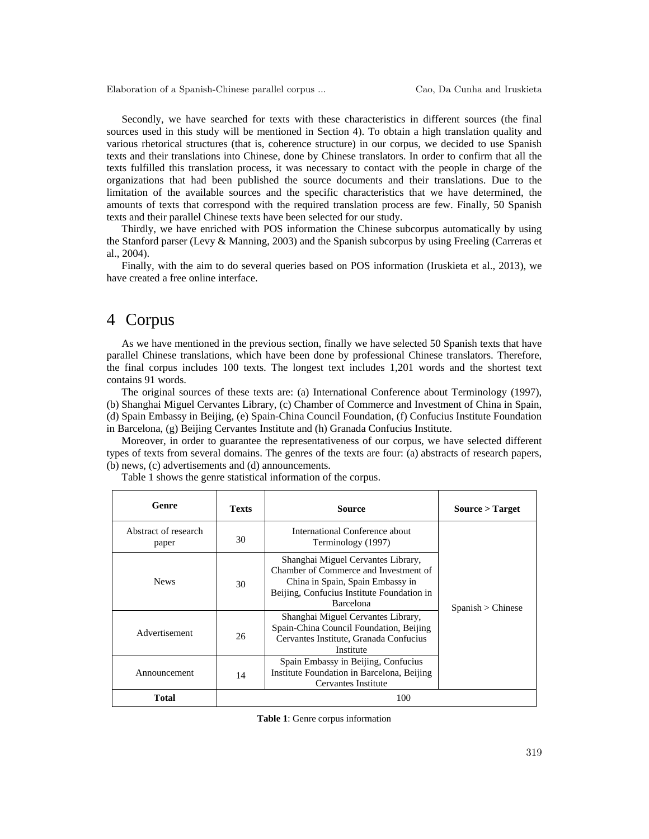Secondly, we have searched for texts with these characteristics in different sources (the final sources used in this study will be mentioned in Section 4). To obtain a high translation quality and various rhetorical structures (that is, coherence structure) in our corpus, we decided to use Spanish texts and their translations into Chinese, done by Chinese translators. In order to confirm that all the texts fulfilled this translation process, it was necessary to contact with the people in charge of the organizations that had been published the source documents and their translations. Due to the limitation of the available sources and the specific characteristics that we have determined, the amounts of texts that correspond with the required translation process are few. Finally, 50 Spanish texts and their parallel Chinese texts have been selected for our study.

Thirdly, we have enriched with POS information the Chinese subcorpus automatically by using the Stanford parser (Levy & Manning, 2003) and the Spanish subcorpus by using Freeling (Carreras et al., 2004).

Finally, with the aim to do several queries based on POS information (Iruskieta et al., 2013), we have created a free online interface.

#### 4 Corpus

As we have mentioned in the previous section, finally we have selected 50 Spanish texts that have parallel Chinese translations, which have been done by professional Chinese translators. Therefore, the final corpus includes 100 texts. The longest text includes 1,201 words and the shortest text contains 91 words.

The original sources of these texts are: (a) International Conference about Terminology (1997), (b) Shanghai Miguel Cervantes Library, (c) Chamber of Commerce and Investment of China in Spain, (d) Spain Embassy in Beijing, (e) Spain-China Council Foundation, (f) Confucius Institute Foundation in Barcelona, (g) Beijing Cervantes Institute and (h) Granada Confucius Institute.

Moreover, in order to guarantee the representativeness of our corpus, we have selected different types of texts from several domains. The genres of the texts are four: (a) abstracts of research papers, (b) news, (c) advertisements and (d) announcements.

| Genre                         | <b>Texts</b> | Source                                                                                                                                                                     | Source > Target   |
|-------------------------------|--------------|----------------------------------------------------------------------------------------------------------------------------------------------------------------------------|-------------------|
| Abstract of research<br>paper | 30           | International Conference about<br>Terminology (1997)                                                                                                                       |                   |
| <b>News</b>                   | 30           | Shanghai Miguel Cervantes Library,<br>Chamber of Commerce and Investment of<br>China in Spain, Spain Embassy in<br>Beijing, Confucius Institute Foundation in<br>Barcelona | Spanish > Chinese |
| Advertisement                 | 26           | Shanghai Miguel Cervantes Library,<br>Spain-China Council Foundation, Beijing<br>Cervantes Institute, Granada Confucius<br>Institute                                       |                   |
| Announcement                  | 14           | Spain Embassy in Beijing, Confucius<br>Institute Foundation in Barcelona, Beijing<br>Cervantes Institute                                                                   |                   |
| <b>Total</b>                  |              | 100                                                                                                                                                                        |                   |

Table 1 shows the genre statistical information of the corpus.

**Table 1**: Genre corpus information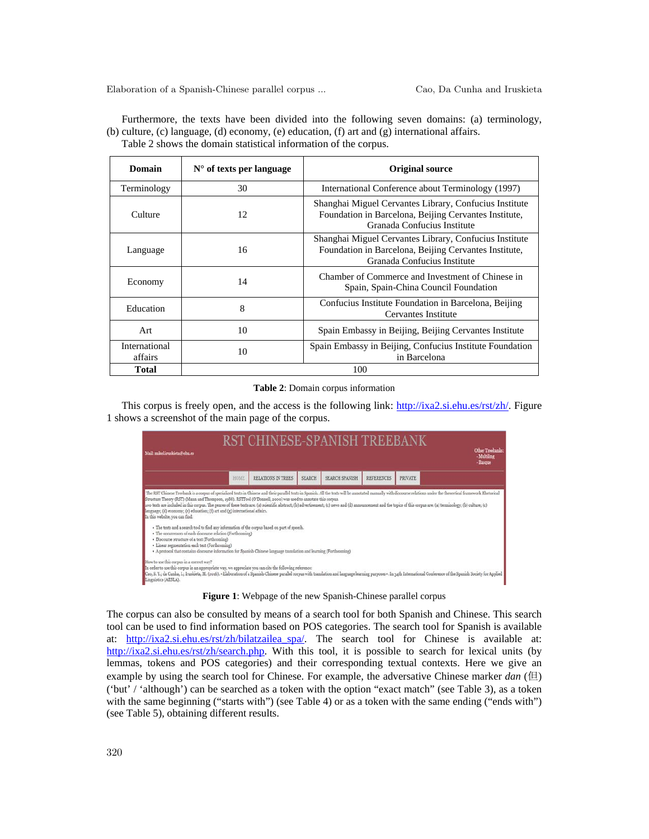Furthermore, the texts have been divided into the following seven domains: (a) terminology, (b) culture, (c) language, (d) economy, (e) education, (f) art and (g) international affairs. Table 2 shows the domain statistical information of the corpus.

| Domain                   | $N^{\circ}$ of texts per language | <b>Original source</b>                                                                                                                         |
|--------------------------|-----------------------------------|------------------------------------------------------------------------------------------------------------------------------------------------|
| Terminology              | 30                                | International Conference about Terminology (1997)                                                                                              |
| Culture                  | 12                                | Shanghai Miguel Cervantes Library, Confucius Institute<br>Foundation in Barcelona, Beijing Cervantes Institute,<br>Granada Confucius Institute |
| Language                 | 16                                | Shanghai Miguel Cervantes Library, Confucius Institute<br>Foundation in Barcelona, Beijing Cervantes Institute,<br>Granada Confucius Institute |
| Economy                  | 14                                | Chamber of Commerce and Investment of Chinese in<br>Spain, Spain-China Council Foundation                                                      |
| Education                | 8                                 | Confucius Institute Foundation in Barcelona, Beijing<br>Cervantes Institute                                                                    |
| Art                      | 10                                | Spain Embassy in Beijing, Beijing Cervantes Institute                                                                                          |
| International<br>affairs | 10                                | Spain Embassy in Beijing, Confucius Institute Foundation<br>in Barcelona                                                                       |
| <b>Total</b>             |                                   | 100                                                                                                                                            |

#### **Table 2**: Domain corpus information

This corpus is freely open, and the access is the following link: [http://ixa2.si.ehu.es/rst/zh/.](http://ixa2.si.ehu.es/rst/zh/) Figure 1 shows a screenshot of the main page of the corpus.



**Figure 1**: Webpage of the new Spanish-Chinese parallel corpus

The corpus can also be consulted by means of a search tool for both Spanish and Chinese. This search tool can be used to find information based on POS categories. The search tool for Spanish is available at: [http://ixa2.si.ehu.es/rst/zh/bilatzailea\\_spa/.](http://ixa2.si.ehu.es/rst/zh/bilatzailea_spa/) The search tool for Chinese is available at: [http://ixa2.si.ehu.es/rst/zh/search.php.](http://ixa2.si.ehu.es/rst/zh/search.php) With this tool, it is possible to search for lexical units (by lemmas, tokens and POS categories) and their corresponding textual contexts. Here we give an example by using the search tool for Chinese. For example, the adversative Chinese marker *dan* (但) ('but' / 'although') can be searched as a token with the option "exact match" (see Table 3), as a token with the same beginning ("starts with") (see Table 4) or as a token with the same ending ("ends with") (see Table 5), obtaining different results.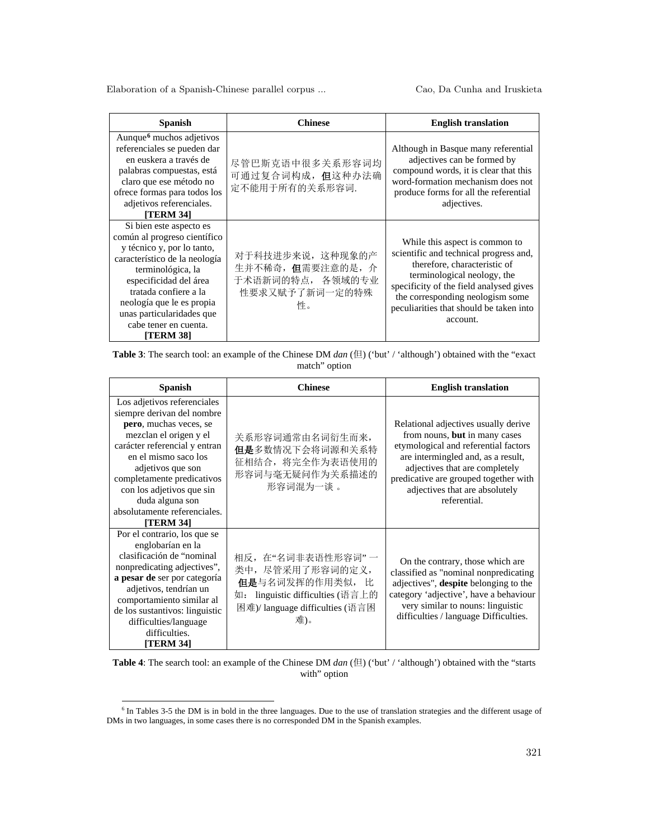| Spanish                                                                                                                                                                                                                                                                                        | <b>Chinese</b>                                                                    | <b>English translation</b>                                                                                                                                                                                                                                                    |
|------------------------------------------------------------------------------------------------------------------------------------------------------------------------------------------------------------------------------------------------------------------------------------------------|-----------------------------------------------------------------------------------|-------------------------------------------------------------------------------------------------------------------------------------------------------------------------------------------------------------------------------------------------------------------------------|
| Aunque <sup>6</sup> muchos adjetivos<br>referenciales se pueden dar<br>en euskera a través de<br>palabras compuestas, está<br>claro que ese método no<br>ofrece formas para todos los<br>adjetivos referenciales.<br>[TERM 34]                                                                 | 尽管巴斯克语中很多关系形容词均<br>可通过复合词构成,但这种办法确<br>定不能用于所有的关系形容词.                              | Although in Basque many referential<br>adjectives can be formed by<br>compound words, it is clear that this<br>word-formation mechanism does not<br>produce forms for all the referential<br>adjectives.                                                                      |
| Si bien este aspecto es<br>común al progreso científico<br>y técnico y, por lo tanto,<br>característico de la neología<br>terminológica, la<br>especificidad del área<br>tratada confiere a la<br>neología que le es propia<br>unas particularidades que<br>cabe tener en cuenta.<br>[TERM 38] | 对于科技进步来说, 这种现象的产<br>生并不稀奇, 但需要注意的是, 介<br>于术语新词的特点, 各领域的专业<br>性要求又赋予了新词一定的特殊<br>性。 | While this aspect is common to<br>scientific and technical progress and,<br>therefore, characteristic of<br>terminological neology, the<br>specificity of the field analysed gives<br>the corresponding neologism some<br>peculiarities that should be taken into<br>account. |

| <b>Table 3:</b> The search tool: an example of the Chinese DM $dan$ ( $\boxplus$ ) ('but' / 'although') obtained with the "exact |
|----------------------------------------------------------------------------------------------------------------------------------|
| match" option                                                                                                                    |

| <b>Spanish</b>                                                                                                                                                                                                                                                                                                                | <b>Chinese</b>                                                                                                                                 | <b>English translation</b>                                                                                                                                                                                                                                                       |
|-------------------------------------------------------------------------------------------------------------------------------------------------------------------------------------------------------------------------------------------------------------------------------------------------------------------------------|------------------------------------------------------------------------------------------------------------------------------------------------|----------------------------------------------------------------------------------------------------------------------------------------------------------------------------------------------------------------------------------------------------------------------------------|
| Los adjetivos referenciales<br>siempre derivan del nombre<br>pero, muchas veces, se<br>mezclan el origen y el<br>carácter referencial y entran<br>en el mismo saco los<br>adjetivos que son<br>completamente predicativos<br>con los adjetivos que sin<br>duda alguna son<br>absolutamente referenciales.<br><b>[TERM 34]</b> | 关系形容词通常由名词衍生而来,<br>但是多数情况下会将词源和关系特<br>征相结合, 将完全作为表语使用的<br>形容词与毫无疑问作为关系描述的<br>形容词混为一谈。                                                          | Relational adjectives usually derive<br>from nouns, but in many cases<br>etymological and referential factors<br>are intermingled and, as a result,<br>adjectives that are completely<br>predicative are grouped together with<br>adjectives that are absolutely<br>referential. |
| Por el contrario, los que se<br>englobarían en la<br>clasificación de "nominal<br>nonpredicating adjectives",<br>a pesar de ser por categoría<br>adjetivos, tendrían un<br>comportamiento similar al<br>de los sustantivos: linguistic<br>difficulties/language<br>difficulties.<br>[TERM 34]                                 | 相反, 在"名词非表语性形容词"一<br>类中, 尽管采用了形容词的定义,<br>但是与名词发挥的作用类似,<br>tŁ.<br>linguistic difficulties (语言上的<br>如:<br>困难)/ language difficulties (语言困<br>难)。 | On the contrary, those which are<br>classified as "nominal nonpredicating<br>adjectives", despite belonging to the<br>category 'adjective', have a behaviour<br>very similar to nouns: linguistic<br>difficulties / language Difficulties.                                       |

**Table 4**: The search tool: an example of the Chinese DM *dan* (但) ('but' / 'although') obtained with the "starts with" option

<span id="page-6-0"></span><sup>&</sup>lt;sup>6</sup> In Tables 3-5 the DM is in bold in the three languages. Due to the use of translation strategies and the different usage of DMs in two languages, in some cases there is no corresponded DM in the Spanish examples.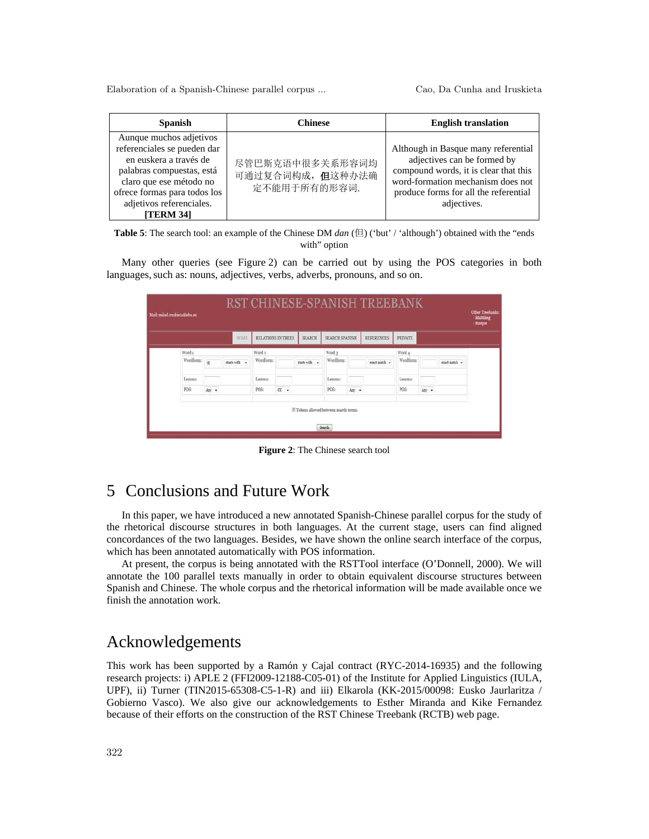| <b>Spanish</b>                                                                                                                                                                                                          | Chinese                                            | <b>English translation</b>                                                                                                                                                                               |
|-------------------------------------------------------------------------------------------------------------------------------------------------------------------------------------------------------------------------|----------------------------------------------------|----------------------------------------------------------------------------------------------------------------------------------------------------------------------------------------------------------|
| Aunque muchos adjetivos<br>referenciales se pueden dar<br>en euskera a través de<br>palabras compuestas, está<br>claro que ese método no<br>ofrece formas para todos los<br>adjetivos referenciales.<br><b>TERM 341</b> | 尽管巴斯克语中很多关系形容词均<br>可通过复合词构成,但这种办法确<br>定不能用于所有的形容词. | Although in Basque many referential<br>adjectives can be formed by<br>compound words, it is clear that this<br>word-formation mechanism does not<br>produce forms for all the referential<br>adjectives. |

**Table 5**: The search tool: an example of the Chinese DM *dan* (但) ('but' / 'although') obtained with the "ends with" option

Many other queries (see Figure 2) can be carried out by using the POS categories in both languages, such as: nouns, adjectives, verbs, adverbs, pronouns, and so on.

|           |       | <b>HOME</b>   | RELATIONS IN TREES |        | <b>SEARCH</b> | <b>SEARCH SPANISH</b> |       | <b>REFERENCES</b> | <b>PRIVATE</b> |               |
|-----------|-------|---------------|--------------------|--------|---------------|-----------------------|-------|-------------------|----------------|---------------|
| Word 1    |       |               | Word 2             |        |               | Word 3                |       |                   | Word 4         |               |
| Wordform: | ë     | starts with - | Wordform:          |        | starts with - | Wordform:             |       | eract match =     | Wordform:      | exact match = |
| Lemma:    |       |               | Lemma:             |        |               | Lemma:                |       |                   | Lemma:         |               |
| POS:      | Any . |               | POS:               | $cc -$ |               | POS:                  | Any + |                   | POS:           | Any .         |

**Figure 2**: The Chinese search tool

## 5 Conclusions and Future Work

In this paper, we have introduced a new annotated Spanish-Chinese parallel corpus for the study of the rhetorical discourse structures in both languages. At the current stage, users can find aligned concordances of the two languages. Besides, we have shown the online search interface of the corpus, which has been annotated automatically with POS information.

At present, the corpus is being annotated with the RSTTool interface (O'Donnell, 2000). We will annotate the 100 parallel texts manually in order to obtain equivalent discourse structures between Spanish and Chinese. The whole corpus and the rhetorical information will be made available once we finish the annotation work.

### Acknowledgements

This work has been supported by a Ramón y Cajal contract (RYC-2014-16935) and the following research projects: i) APLE 2 (FFI2009-12188-C05-01) of the Institute for Applied Linguistics (IULA, UPF), ii) Turner (TIN2015-65308-C5-1-R) and iii) Elkarola (KK-2015/00098: Eusko Jaurlaritza / Gobierno Vasco). We also give our acknowledgements to Esther Miranda and Kike Fernandez because of their efforts on the construction of the RST Chinese Treebank (RCTB) web page.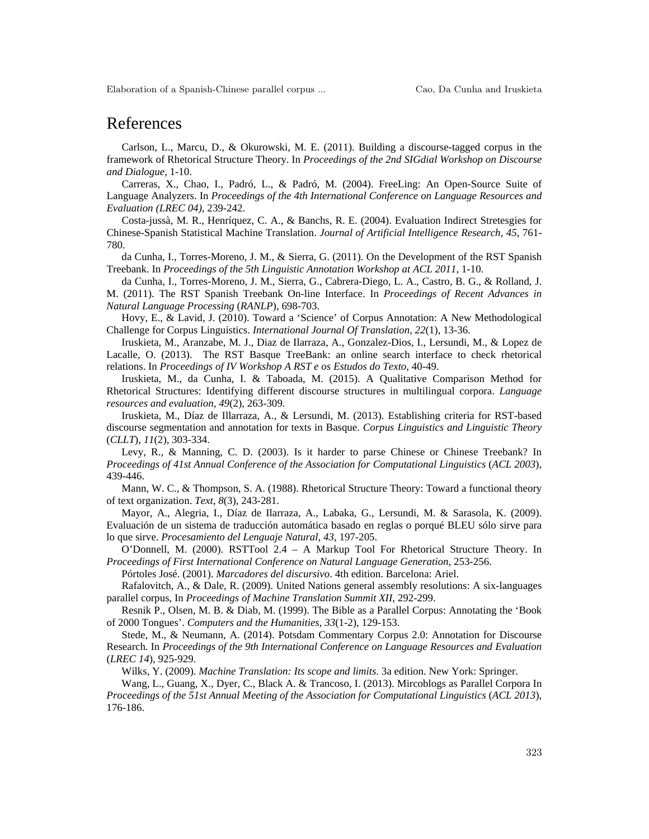#### References

Carlson, L., Marcu, D., & Okurowski, M. E. (2011). Building a discourse-tagged corpus in the framework of Rhetorical Structure Theory. In *Proceedings of the 2nd SIGdial Workshop on Discourse and Dialogue*, 1-10.

Carreras, X., Chao, I., Padró, L., & Padró, M. (2004). FreeLing: An Open-Source Suite of Language Analyzers. In *Proceedings of the 4th International Conference on Language Resources and Evaluation (LREC 04)*, 239-242.

Costa-jussà, M. R., Henríquez, C. A., & Banchs, R. E. (2004). Evaluation Indirect Stretesgies for Chinese-Spanish Statistical Machine Translation. *Journal of Artificial Intelligence Research*, *45*, 761- 780.

da Cunha, I., Torres-Moreno, J. M., & Sierra, G. (2011). On the Development of the RST Spanish Treebank. In *Proceedings of the 5th Linguistic Annotation Workshop at ACL 2011*, 1-10.

da Cunha, I., Torres-Moreno, J. M., Sierra, G., Cabrera-Diego, L. A., Castro, B. G., & Rolland, J. M. (2011). The RST Spanish Treebank On-line Interface. In *Proceedings of Recent Advances in Natural Language Processing* (*RANLP*), 698-703.

Hovy, E., & Lavid, J. (2010). Toward a 'Science' of Corpus Annotation: A New Methodological Challenge for Corpus Linguistics. *International Journal Of Translation*, *22*(1), 13-36.

Iruskieta, M., Aranzabe, M. J., Diaz de Ilarraza, A., Gonzalez-Dios, I., Lersundi, M., & Lopez de Lacalle, O. (2013). The RST Basque TreeBank: an online search interface to check rhetorical relations. In *Proceedings of IV Workshop A RST e os Estudos do Texto*, 40-49.

Iruskieta, M., da Cunha, I. & Taboada, M. (2015). A Qualitative Comparison Method for Rhetorical Structures: Identifying different discourse structures in multilingual corpora. *Language resources and evaluation*, *49*(2), 263-309.

Iruskieta, M., Díaz de Illarraza, A., & Lersundi, M. (2013). Establishing criteria for RST-based discourse segmentation and annotation for texts in Basque. *Corpus Linguistics and Linguistic Theory* (*CLLT*), *11*(2), 303-334.

Levy, R., & Manning, C. D. (2003). Is it harder to parse Chinese or Chinese Treebank? In *Proceedings of 41st Annual Conference of the Association for Computational Linguistics* (*ACL 2003*), 439-446.

Mann, W. C., & Thompson, S. A. (1988). Rhetorical Structure Theory: Toward a functional theory of text organization. *Text*, *8*(3), 243-281.

Mayor, A., Alegria, I., Díaz de Ilarraza, A., Labaka, G., Lersundi, M. & Sarasola, K. (2009). Evaluación de un sistema de traducción automática basado en reglas o porqué BLEU sólo sirve para lo que sirve. *Procesamiento del Lenguaje Natural*, *43*, 197-205.

O'Donnell, M. (2000). RSTTool 2.4 – A Markup Tool For Rhetorical Structure Theory. In *Proceedings of First International Conference on Natural Language Generation*, 253-256.

Pórtoles José. (2001). *Marcadores del discursivo*. 4th edition. Barcelona: Ariel.

Rafalovitch, A., & Dale, R. (2009). United Nations general assembly resolutions: A six-languages parallel corpus, In *Proceedings of Machine Translation Summit XII*, 292-299.

Resnik P., Olsen, M. B. & Diab, M. (1999). The Bible as a Parallel Corpus: Annotating the 'Book of 2000 Tongues'. *Computers and the Humanities*, *33*(1-2), 129-153.

Stede, M., & Neumann, A. (2014). Potsdam Commentary Corpus 2.0: Annotation for Discourse Research. In *Proceedings of the 9th International Conference on Language Resources and Evaluation*  (*LREC 14*), 925-929.

Wilks, Y. (2009). *Machine Translation: Its scope and limits*. 3a edition. New York: Springer.

Wang, L., Guang, X., Dyer, C., Black A. & Trancoso, I. (2013). Mircoblogs as Parallel Corpora In *Proceedings of the 51st Annual Meeting of the Association for Computational Linguistics* (*ACL 2013*), 176-186.